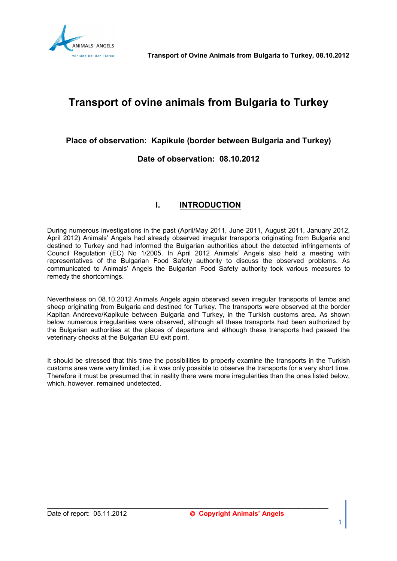

# **Transport of ovine animals from Bulgaria to Turkey**

**Place of observation: Kapikule (border between Bulgaria and Turkey)** 

**Date of observation: 08.10.2012** 

# **I. INTRODUCTION**

During numerous investigations in the past (April/May 2011, June 2011, August 2011, January 2012, April 2012) Animals' Angels had already observed irregular transports originating from Bulgaria and destined to Turkey and had informed the Bulgarian authorities about the detected infringements of Council Regulation (EC) No 1/2005. In April 2012 Animals' Angels also held a meeting with representatives of the Bulgarian Food Safety authority to discuss the observed problems. As communicated to Animals' Angels the Bulgarian Food Safety authority took various measures to remedy the shortcomings.

Nevertheless on 08.10.2012 Animals Angels again observed seven irregular transports of lambs and sheep originating from Bulgaria and destined for Turkey. The transports were observed at the border Kapitan Andreevo/Kapikule between Bulgaria and Turkey, in the Turkish customs area. As shown below numerous irregularities were observed, although all these transports had been authorized by the Bulgarian authorities at the places of departure and although these transports had passed the veterinary checks at the Bulgarian EU exit point.

It should be stressed that this time the possibilities to properly examine the transports in the Turkish customs area were very limited, i.e. it was only possible to observe the transports for a very short time. Therefore it must be presumed that in reality there were more irregularities than the ones listed below, which, however, remained undetected.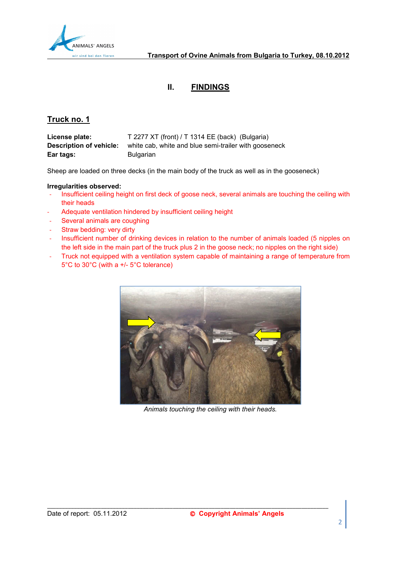

# **II. FINDINGS**

# **Truck no. 1**

| License plate:          | T 2277 XT (front) / T 1314 EE (back) (Bulgaria)       |
|-------------------------|-------------------------------------------------------|
| Description of vehicle: | white cab, white and blue semi-trailer with gooseneck |
| Ear tags:               | <b>Bulgarian</b>                                      |

Sheep are loaded on three decks (in the main body of the truck as well as in the gooseneck)

# **Irregularities observed:**

- Insufficient ceiling height on first deck of goose neck, several animals are touching the ceiling with their heads
- Adequate ventilation hindered by insufficient ceiling height
- Several animals are coughing
- Straw bedding: very dirty
- Insufficient number of drinking devices in relation to the number of animals loaded (5 nipples on the left side in the main part of the truck plus 2 in the goose neck; no nipples on the right side)
- Truck not equipped with a ventilation system capable of maintaining a range of temperature from 5°C to 30°C (with a +/- 5°C tolerance)



*Animals touching the ceiling with their heads.*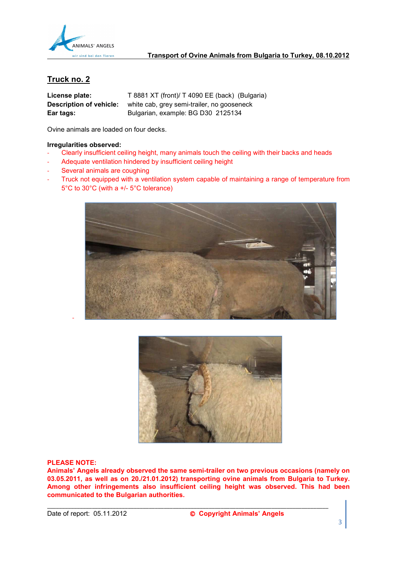

| License plate:                 | T 8881 XT (front)/ T 4090 EE (back) (Bulgaria) |
|--------------------------------|------------------------------------------------|
| <b>Description of vehicle:</b> | white cab, grey semi-trailer, no gooseneck     |
| Ear tags:                      | Bulgarian, example: BG D30 2125134             |

Ovine animals are loaded on four decks.

#### **Irregularities observed:**

- Clearly insufficient ceiling height, many animals touch the ceiling with their backs and heads
- Adequate ventilation hindered by insufficient ceiling height
- Several animals are coughing
- Truck not equipped with a ventilation system capable of maintaining a range of temperature from 5°C to 30°C (with a +/- 5°C tolerance)





#### **PLEASE NOTE:**

-

**Animals' Angels already observed the same semi-trailer on two previous occasions (namely on 03.05.2011, as well as on 20./21.01.2012) transporting ovine animals from Bulgaria to Turkey. Among other infringements also insufficient ceiling height was observed. This had been communicated to the Bulgarian authorities.**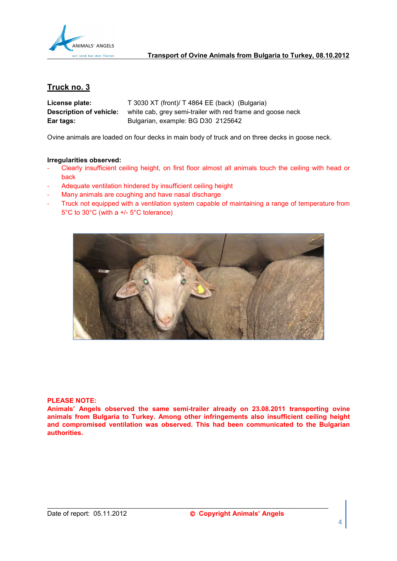

| License plate:          | T 3030 XT (front)/ T 4864 EE (back) (Bulgaria)             |
|-------------------------|------------------------------------------------------------|
| Description of vehicle: | white cab, grey semi-trailer with red frame and goose neck |
| Ear tags:               | Bulgarian, example: BG D30 2125642                         |

Ovine animals are loaded on four decks in main body of truck and on three decks in goose neck.

# **Irregularities observed:**

- Clearly insufficient ceiling height, on first floor almost all animals touch the ceiling with head or back
- Adequate ventilation hindered by insufficient ceiling height
- Many animals are coughing and have nasal discharge
- Truck not equipped with a ventilation system capable of maintaining a range of temperature from 5°C to 30°C (with a +/- 5°C tolerance)



#### **PLEASE NOTE:**

**Animals' Angels observed the same semi-trailer already on 23.08.2011 transporting ovine animals from Bulgaria to Turkey. Among other infringements also insufficient ceiling height and compromised ventilation was observed. This had been communicated to the Bulgarian authorities.**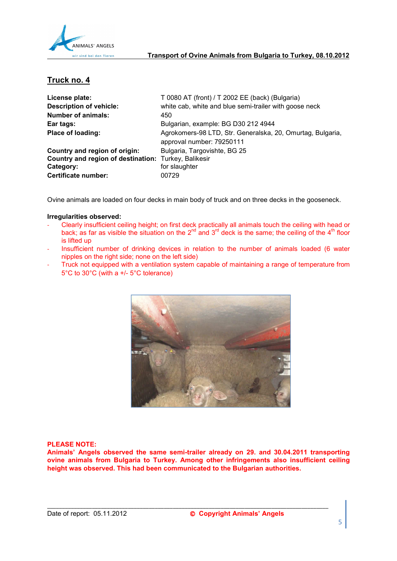

| License plate:                                       | T 0080 AT (front) / T 2002 EE (back) (Bulgaria)            |
|------------------------------------------------------|------------------------------------------------------------|
| <b>Description of vehicle:</b>                       | white cab, white and blue semi-trailer with goose neck     |
| <b>Number of animals:</b>                            | 450                                                        |
| Ear tags:                                            | Bulgarian, example: BG D30 212 4944                        |
| Place of loading:                                    | Agrokomers-98 LTD, Str. Generalska, 20, Omurtag, Bulgaria, |
|                                                      | approval number: 79250111                                  |
| Country and region of origin:                        | Bulgaria, Targovishte, BG 25                               |
| Country and region of destination: Turkey, Balikesir |                                                            |
| Category:                                            | for slaughter                                              |
| Certificate number:                                  | 00729                                                      |

Ovine animals are loaded on four decks in main body of truck and on three decks in the gooseneck.

#### **Irregularities observed:**

- Clearly insufficient ceiling height; on first deck practically all animals touch the ceiling with head or back; as far as visible the situation on the  $2^{nd}$  and  $3^{rd}$  deck is the same; the ceiling of the 4<sup>th</sup> floor is lifted up
- Insufficient number of drinking devices in relation to the number of animals loaded (6 water nipples on the right side; none on the left side)
- Truck not equipped with a ventilation system capable of maintaining a range of temperature from 5°C to 30°C (with a +/- 5°C tolerance)



#### **PLEASE NOTE:**

**Animals' Angels observed the same semi-trailer already on 29. and 30.04.2011 transporting ovine animals from Bulgaria to Turkey. Among other infringements also insufficient ceiling height was observed. This had been communicated to the Bulgarian authorities.**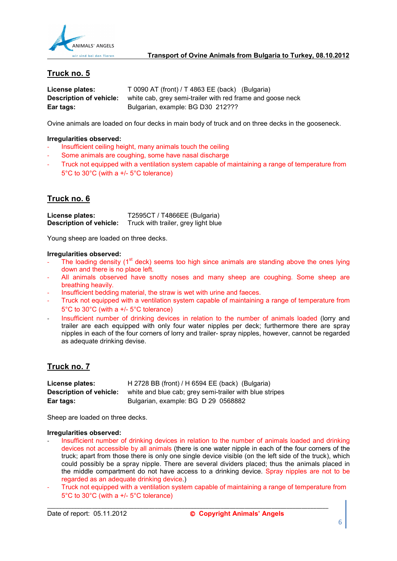

| License plates:         | $T 0090 AT (front) / T 4863 EE (back) (Bulgaria)$          |
|-------------------------|------------------------------------------------------------|
| Description of vehicle: | white cab, grey semi-trailer with red frame and goose neck |
| Ear tags:               | Bulgarian, example: BG D30 212???                          |

Ovine animals are loaded on four decks in main body of truck and on three decks in the gooseneck.

#### **Irregularities observed:**

- Insufficient ceiling height, many animals touch the ceiling
- Some animals are coughing, some have nasal discharge
- Truck not equipped with a ventilation system capable of maintaining a range of temperature from 5°C to 30°C (with a +/- 5°C tolerance)

# **Truck no. 6**

**License plates:** T2595CT / T4866EE (Bulgaria) **Description of vehicle:** Truck with trailer, grey light blue

Young sheep are loaded on three decks.

#### **Irregularities observed:**

- The loading density  $(1<sup>st</sup>$  deck) seems too high since animals are standing above the ones lying down and there is no place left.
- All animals observed have snotty noses and many sheep are coughing. Some sheep are breathing heavily.
- Insufficient bedding material, the straw is wet with urine and faeces.
- Truck not equipped with a ventilation system capable of maintaining a range of temperature from 5°C to 30°C (with a +/- 5°C tolerance)
- Insufficient number of drinking devices in relation to the number of animals loaded (lorry and trailer are each equipped with only four water nipples per deck; furthermore there are spray nipples in each of the four corners of lorry and trailer- spray nipples, however, cannot be regarded as adequate drinking devise.

# **Truck no. 7**

| License plates:         | H 2728 BB (front) / H 6594 EE (back) (Bulgaria)         |
|-------------------------|---------------------------------------------------------|
| Description of vehicle: | white and blue cab; grey semi-trailer with blue stripes |
| Ear tags:               | Bulgarian, example: BG D 29 0568882                     |

Sheep are loaded on three decks.

#### **Irregularities observed:**

- Insufficient number of drinking devices in relation to the number of animals loaded and drinking devices not accessible by all animals (there is one water nipple in each of the four corners of the truck; apart from those there is only one single device visible (on the left side of the truck), which could possibly be a spray nipple. There are several dividers placed; thus the animals placed in the middle compartment do not have access to a drinking device. Spray nipples are not to be regarded as an adequate drinking device.)
- Truck not equipped with a ventilation system capable of maintaining a range of temperature from 5°C to 30°C (with a +/- 5°C tolerance)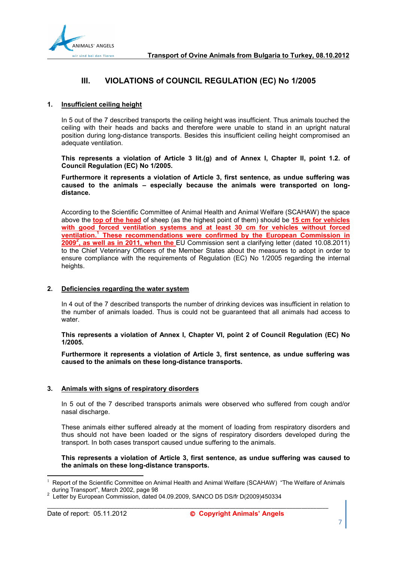

# **III. VIOLATIONS of COUNCIL REGULATION (EC) No 1/2005**

#### **1. Insufficient ceiling height**

In 5 out of the 7 described transports the ceiling height was insufficient. Thus animals touched the ceiling with their heads and backs and therefore were unable to stand in an upright natural position during long-distance transports. Besides this insufficient ceiling height compromised an adequate ventilation.

**This represents a violation of Article 3 lit.(g) and of Annex I, Chapter II, point 1.2. of Council Regulation (EC) No 1/2005.** 

**Furthermore it represents a violation of Article 3, first sentence, as undue suffering was caused to the animals – especially because the animals were transported on longdistance.** 

According to the Scientific Committee of Animal Health and Animal Welfare (SCAHAW) the space above the **top of the head** of sheep (as the highest point of them) should be **15 cm for vehicles with good forced ventilation systems and at least 30 cm for vehicles without forced ventilation.<sup>1</sup> These recommendations were confirmed by the European Commission in 2009<sup>2</sup> , as well as in 2011, when the** EU Commission sent a clarifying letter (dated 10.08.2011) to the Chief Veterinary Officers of the Member States about the measures to adopt in order to ensure compliance with the requirements of Regulation (EC) No 1/2005 regarding the internal heights.

#### **2. Deficiencies regarding the water system**

In 4 out of the 7 described transports the number of drinking devices was insufficient in relation to the number of animals loaded. Thus is could not be guaranteed that all animals had access to water.

**This represents a violation of Annex I, Chapter VI, point 2 of Council Regulation (EC) No 1/2005.** 

**Furthermore it represents a violation of Article 3, first sentence, as undue suffering was caused to the animals on these long-distance transports.** 

# **3. Animals with signs of respiratory disorders**

In 5 out of the 7 described transports animals were observed who suffered from cough and/or nasal discharge.

These animals either suffered already at the moment of loading from respiratory disorders and thus should not have been loaded or the signs of respiratory disorders developed during the transport. In both cases transport caused undue suffering to the animals.

#### **This represents a violation of Article 3, first sentence, as undue suffering was caused to the animals on these long-distance transports.**

\_\_\_\_\_\_\_\_\_\_\_\_\_\_\_\_\_\_\_\_\_\_\_\_\_\_\_\_\_\_\_\_\_\_\_\_\_\_\_\_\_\_\_\_\_\_\_\_\_\_\_\_\_\_\_\_\_\_\_\_\_\_\_\_\_\_\_\_\_\_\_\_\_\_\_\_\_\_\_\_\_\_\_\_\_\_\_\_\_\_\_\_\_\_

l

<sup>1</sup> Report of the Scientific Committee on Animal Health and Animal Welfare (SCAHAW) "The Welfare of Animals during Transport", March 2002, page 98 2

Letter by European Commission, dated 04.09.2009, SANCO D5 DS/fr D(2009)450334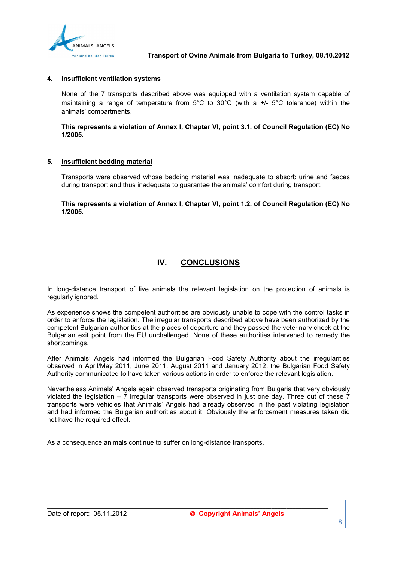

# **4. Insufficient ventilation systems**

None of the 7 transports described above was equipped with a ventilation system capable of maintaining a range of temperature from 5°C to 30°C (with a +/- 5°C tolerance) within the animals' compartments.

# **This represents a violation of Annex I, Chapter VI, point 3.1. of Council Regulation (EC) No 1/2005.**

# **5. Insufficient bedding material**

Transports were observed whose bedding material was inadequate to absorb urine and faeces during transport and thus inadequate to guarantee the animals' comfort during transport.

**This represents a violation of Annex I, Chapter VI, point 1.2. of Council Regulation (EC) No 1/2005.** 

# **IV. CONCLUSIONS**

In long-distance transport of live animals the relevant legislation on the protection of animals is regularly ignored.

As experience shows the competent authorities are obviously unable to cope with the control tasks in order to enforce the legislation. The irregular transports described above have been authorized by the competent Bulgarian authorities at the places of departure and they passed the veterinary check at the Bulgarian exit point from the EU unchallenged. None of these authorities intervened to remedy the shortcomings.

After Animals' Angels had informed the Bulgarian Food Safety Authority about the irregularities observed in April/May 2011, June 2011, August 2011 and January 2012, the Bulgarian Food Safety Authority communicated to have taken various actions in order to enforce the relevant legislation.

Nevertheless Animals' Angels again observed transports originating from Bulgaria that very obviously violated the legislation  $-7$  irregular transports were observed in just one day. Three out of these  $7$ transports were vehicles that Animals' Angels had already observed in the past violating legislation and had informed the Bulgarian authorities about it. Obviously the enforcement measures taken did not have the required effect.

\_\_\_\_\_\_\_\_\_\_\_\_\_\_\_\_\_\_\_\_\_\_\_\_\_\_\_\_\_\_\_\_\_\_\_\_\_\_\_\_\_\_\_\_\_\_\_\_\_\_\_\_\_\_\_\_\_\_\_\_\_\_\_\_\_\_\_\_\_\_\_\_\_\_\_\_\_\_\_\_\_\_\_\_\_\_\_\_\_\_\_\_\_\_

As a consequence animals continue to suffer on long-distance transports.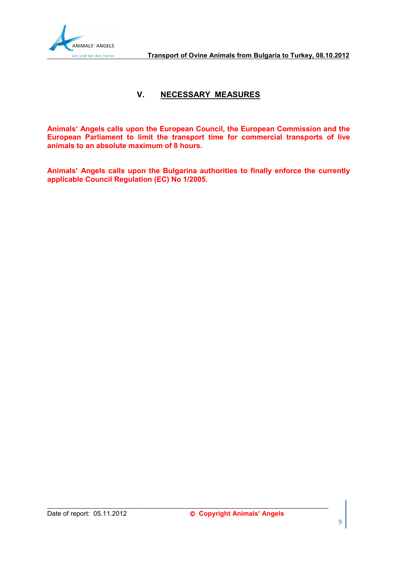

# **V. NECESSARY MEASURES**

**Animals' Angels calls upon the European Council, the European Commission and the European Parliament to limit the transport time for commercial transports of live animals to an absolute maximum of 8 hours.** 

**Animals' Angels calls upon the Bulgarina authorities to finally enforce the currently applicable Council Regulation (EC) No 1/2005.**